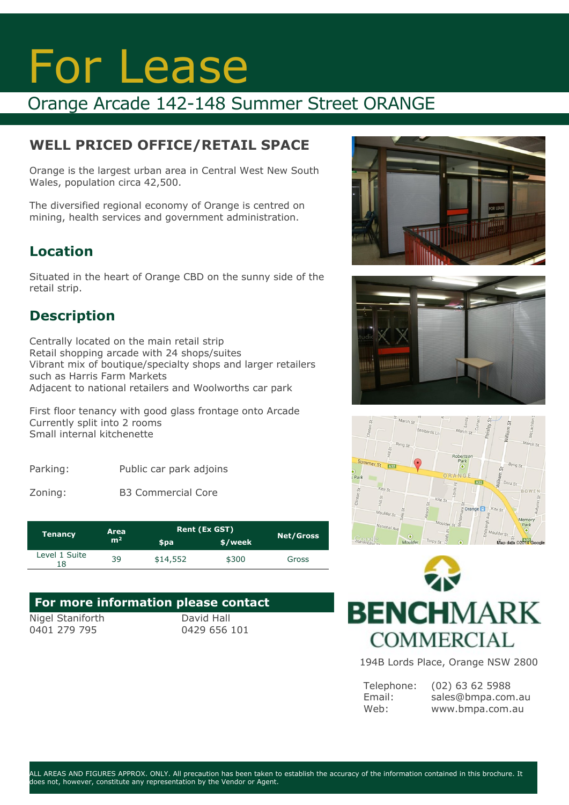# For Lease

## Orange Arcade 142-148 Summer Street ORANGE

## **WELL PRICED OFFICE/RETAIL SPACE**

Orange is the largest urban area in Central West New South Wales, population circa 42,500.

The diversified regional economy of Orange is centred on mining, health services and government administration.

### **Location**

Situated in the heart of Orange CBD on the sunny side of the retail strip.

## **Description**

Centrally located on the main retail strip Retail shopping arcade with 24 shops/suites Vibrant mix of boutique/specialty shops and larger retailers such as Harris Farm Markets Adjacent to national retailers and Woolworths car park

First floor tenancy with good glass frontage onto Arcade Currently split into 2 rooms Small internal kitchenette

| Parking: | Public car park adjoins |  |
|----------|-------------------------|--|
|----------|-------------------------|--|

Zoning: B3 Commercial Core

| Area<br><b>Tenancy</b> |                |          | <b>Rent (Ex GST)</b> |                  |
|------------------------|----------------|----------|----------------------|------------------|
|                        | m <sup>2</sup> | \$pa     | \$/week              | <b>Net/Gross</b> |
| Level 1 Suite<br>18    | 39             | \$14,552 | \$300                | Gross            |

#### **For more information please contact**  Nigel Staniforth David Hall

0401 279 795

0429 656 101





![](_page_0_Figure_18.jpeg)

![](_page_0_Picture_19.jpeg)

194B Lords Place, Orange NSW 2800

| Telephone: | $(02)$ 63 62 5988 |
|------------|-------------------|
| Email:     | sales@bmpa.com.au |
| Web:       | www.bmpa.com.au   |